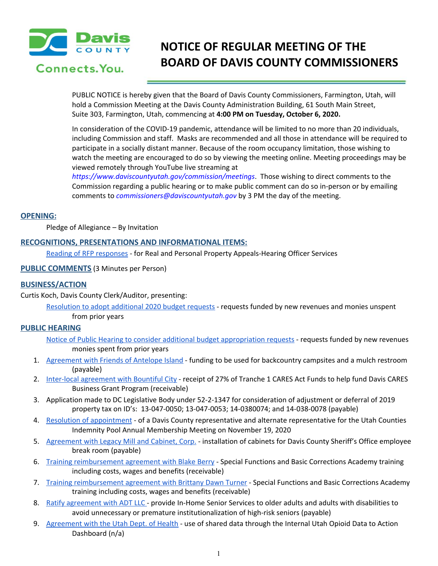

# Connects, You.

# **NOTICE OF REGULAR MEETING OF THE BOARD OF DAVIS COUNTY COMMISSIONERS**

PUBLIC NOTICE is hereby given that the Board of Davis County Commissioners, Farmington, Utah, will hold a Commission Meeting at the Davis County Administration Building, 61 South Main Street, Suite 303, Farmington, Utah, commencing at **4:00 PM on Tuesday, October 6, 2020.**

In consideration of the COVID-19 pandemic, attendance will be limited to no more than 20 individuals, including Commission and staff. Masks are recommended and all those in attendance will be required to participate in a socially distant manner. Because of the room occupancy limitation, those wishing to watch the meeting are encouraged to do so by viewing the meeting online. Meeting proceedings may be viewed remotely through YouTube live streaming at

*https://www.daviscountyutah.gov/commission/meetings*. Those wishing to direct comments to the Commission regarding a public hearing or to make public comment can do so in-person or by emailing comments to *commissioners@daviscountyutah.gov* by 3 PM the day of the meeting.

### **OPENING:**

Pledge of Allegiance – By Invitation

### **RECOGNITIONS, PRESENTATIONS AND INFORMATIONAL ITEMS:**

Reading of RFP [responses](https://drive.google.com/file/d/1WuLMjyYBuz1-ReJ8x6iz2htD12r1roch/view?usp=drivesdk) - for Real and Personal Property Appeals-Hearing Officer Services

**PUBLIC COMMENTS** (3 Minutes per Person)

## **BUSINESS/ACTION**

Curtis Koch, Davis County Clerk/Auditor, presenting:

[Resolution](https://drive.google.com/file/d/1229WepIsAHouv6wpH0x3wfzfPAh8-MGv/view?usp=drivesdk) to adopt additional 2020 budget requests - requests funded by new revenues and monies unspent from prior years

## **PUBLIC HEARING**

- Notice of Public Hearing to consider additional budget [appropriation](https://drive.google.com/file/d/1CpIyTkJin1uAOjxCTqESZqWmXROAVIsv/view?usp=drivesdk) requests requests funded by new revenues monies spent from prior years
- 1. [Agreement](https://drive.google.com/file/d/1PVppyd_mb7asUa4SSfBKWc4xbQUWS9n0/view?usp=drivesdk) with Friends of Antelope Island funding to be used for backcountry campsites and a mulch restroom (payable)
- 2. Inter-local [agreement](https://drive.google.com/file/d/1Weqj99Uqp-ZzOLCgfc5jahO1YGmPphJb/view?usp=drivesdk) with Bountiful City receipt of 27% of Tranche 1 CARES Act Funds to help fund Davis CARES Business Grant Program (receivable)
- 3. Application made to DC Legislative Body under 52-2-1347 for consideration of adjustment or deferral of 2019 property tax on ID's: 13-047-0050; 13-047-0053; 14-0380074; and 14-038-0078 (payable)
- 4. Resolution of [appointment](https://drive.google.com/file/d/1xRw2A6FtlIUiCtXxaOARZeOARa4KSOyx/view?usp=drivesdk) of a Davis County representative and alternate representative for the Utah Counties Indemnity Pool Annual Membership Meeting on November 19, 2020
- 5. [Agreement](https://drive.google.com/file/d/1TPsjG1AjLzKh7cjF6y69n_otWsK950Fn/view?usp=drivesdk) with Legacy Mill and Cabinet, Corp. installation of cabinets for Davis County Sheriff's Office employee break room (payable)
- 6. Training [reimbursement](https://drive.google.com/file/d/1PmEpmDp-4rV0ovrKHy_JnvOihsHFmcyC/view?usp=drivesdk) agreement with Blake Berry Special Functions and Basic Corrections Academy training including costs, wages and benefits (receivable)
- 7. Training [reimbursement](https://drive.google.com/file/d/1wPA86iUqN6JhToXf-hnkXop9_CIFmegM/view?usp=drivesdk) agreement with Brittany Dawn Turner Special Functions and Basic Corrections Academy training including costs, wages and benefits (receivable)
- 8. Ratify [agreement](https://drive.google.com/file/d/1f1AbGxwr01YLk3ijJZLiQ31hr3R9Qy7-/view?usp=drivesdk) with ADT LLC provide In-Home Senior Services to older adults and adults with disabilities to avoid unnecessary or premature institutionalization of high-risk seniors (payable)
- 9. [Agreement](https://drive.google.com/file/d/1regZ3-6VPXG1yxZvbUnmhqflfpx6HCyl/view?usp=drivesdk) with the Utah Dept. of Health use of shared data through the Internal Utah Opioid Data to Action Dashboard (n/a)